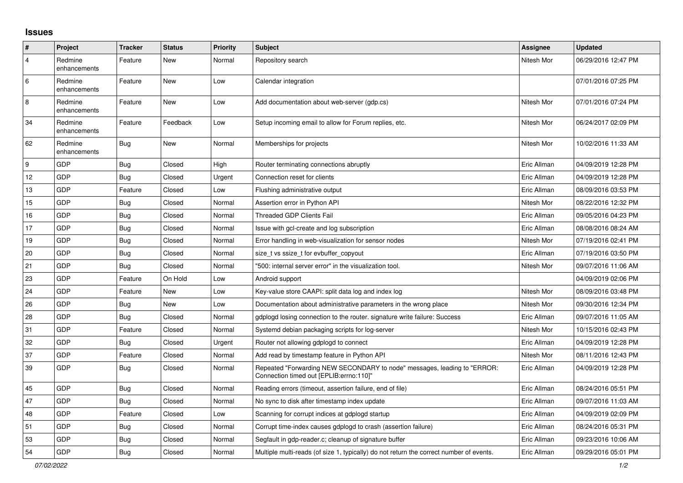## **Issues**

| $\pmb{\sharp}$   | Project                 | <b>Tracker</b> | <b>Status</b> | <b>Priority</b> | <b>Subject</b>                                                                                                      | <b>Assignee</b> | <b>Updated</b>      |
|------------------|-------------------------|----------------|---------------|-----------------|---------------------------------------------------------------------------------------------------------------------|-----------------|---------------------|
| $\overline{4}$   | Redmine<br>enhancements | Feature        | New           | Normal          | Repository search                                                                                                   | Nitesh Mor      | 06/29/2016 12:47 PM |
| $\,6\,$          | Redmine<br>enhancements | Feature        | <b>New</b>    | Low             | Calendar integration                                                                                                |                 | 07/01/2016 07:25 PM |
| 8                | Redmine<br>enhancements | Feature        | <b>New</b>    | Low             | Add documentation about web-server (gdp.cs)                                                                         | Nitesh Mor      | 07/01/2016 07:24 PM |
| 34               | Redmine<br>enhancements | Feature        | Feedback      | Low             | Setup incoming email to allow for Forum replies, etc.                                                               | Nitesh Mor      | 06/24/2017 02:09 PM |
| 62               | Redmine<br>enhancements | <b>Bug</b>     | <b>New</b>    | Normal          | Memberships for projects                                                                                            | Nitesh Mor      | 10/02/2016 11:33 AM |
| $\boldsymbol{9}$ | GDP                     | <b>Bug</b>     | Closed        | High            | Router terminating connections abruptly                                                                             | Eric Allman     | 04/09/2019 12:28 PM |
| 12               | GDP                     | Bug            | Closed        | Urgent          | Connection reset for clients                                                                                        | Eric Allman     | 04/09/2019 12:28 PM |
| 13               | GDP                     | Feature        | Closed        | Low             | Flushing administrative output                                                                                      | Eric Allman     | 08/09/2016 03:53 PM |
| 15               | GDP                     | <b>Bug</b>     | Closed        | Normal          | Assertion error in Python API                                                                                       | Nitesh Mor      | 08/22/2016 12:32 PM |
| 16               | GDP                     | <b>Bug</b>     | Closed        | Normal          | Threaded GDP Clients Fail                                                                                           | Eric Allman     | 09/05/2016 04:23 PM |
| 17               | GDP                     | <b>Bug</b>     | Closed        | Normal          | Issue with gcl-create and log subscription                                                                          | Eric Allman     | 08/08/2016 08:24 AM |
| 19               | <b>GDP</b>              | Bug            | Closed        | Normal          | Error handling in web-visualization for sensor nodes                                                                | Nitesh Mor      | 07/19/2016 02:41 PM |
| 20               | GDP                     | Bug            | Closed        | Normal          | size t vs ssize t for evbuffer copyout                                                                              | Eric Allman     | 07/19/2016 03:50 PM |
| 21               | <b>GDP</b>              | <b>Bug</b>     | Closed        | Normal          | "500: internal server error" in the visualization tool.                                                             | Nitesh Mor      | 09/07/2016 11:06 AM |
| 23               | GDP                     | Feature        | On Hold       | Low             | Android support                                                                                                     |                 | 04/09/2019 02:06 PM |
| 24               | GDP                     | Feature        | New           | Low             | Key-value store CAAPI: split data log and index log                                                                 | Nitesh Mor      | 08/09/2016 03:48 PM |
| 26               | <b>GDP</b>              | Bug            | New           | Low             | Documentation about administrative parameters in the wrong place                                                    | Nitesh Mor      | 09/30/2016 12:34 PM |
| 28               | <b>GDP</b>              | <b>Bug</b>     | Closed        | Normal          | gdplogd losing connection to the router. signature write failure: Success                                           | Eric Allman     | 09/07/2016 11:05 AM |
| 31               | GDP                     | Feature        | Closed        | Normal          | Systemd debian packaging scripts for log-server                                                                     | Nitesh Mor      | 10/15/2016 02:43 PM |
| 32               | GDP                     | Bug            | Closed        | Urgent          | Router not allowing gdplogd to connect                                                                              | Eric Allman     | 04/09/2019 12:28 PM |
| 37               | <b>GDP</b>              | Feature        | Closed        | Normal          | Add read by timestamp feature in Python API                                                                         | Nitesh Mor      | 08/11/2016 12:43 PM |
| 39               | <b>GDP</b>              | <b>Bug</b>     | Closed        | Normal          | Repeated "Forwarding NEW SECONDARY to node" messages, leading to "ERROR:<br>Connection timed out [EPLIB:errno:110]" | Eric Allman     | 04/09/2019 12:28 PM |
| 45               | <b>GDP</b>              | <b>Bug</b>     | Closed        | Normal          | Reading errors (timeout, assertion failure, end of file)                                                            | Eric Allman     | 08/24/2016 05:51 PM |
| 47               | GDP                     | <b>Bug</b>     | Closed        | Normal          | No sync to disk after timestamp index update                                                                        | Eric Allman     | 09/07/2016 11:03 AM |
| 48               | GDP                     | Feature        | Closed        | Low             | Scanning for corrupt indices at gdplogd startup                                                                     | Eric Allman     | 04/09/2019 02:09 PM |
| 51               | GDP                     | Bug            | Closed        | Normal          | Corrupt time-index causes gdplogd to crash (assertion failure)                                                      | Eric Allman     | 08/24/2016 05:31 PM |
| 53               | GDP                     | <b>Bug</b>     | Closed        | Normal          | Segfault in gdp-reader.c; cleanup of signature buffer                                                               | Eric Allman     | 09/23/2016 10:06 AM |
| 54               | GDP                     | <b>Bug</b>     | Closed        | Normal          | Multiple multi-reads (of size 1, typically) do not return the correct number of events.                             | Eric Allman     | 09/29/2016 05:01 PM |